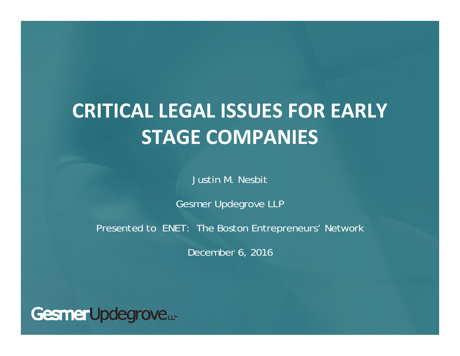# **CRITICAL LEGAL ISSUES FOR EARLY STAGE COMPANIES**

Justin M. Nesbit

Gesmer Updegrove LLP

Presented to ENET: The Boston Entrepreneurs' Network

December 6, 2016

GesmerUpdegrove...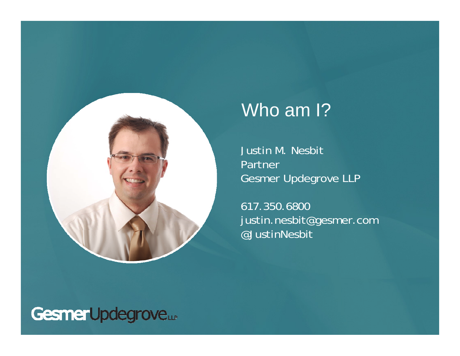

### Who am I?

Justin M. Nesbit Partner Gesmer Updegrove LLP

617.350.6800 justin.nesbit@gesmer.com @JustinNesbit

### Gesmer Updegrove...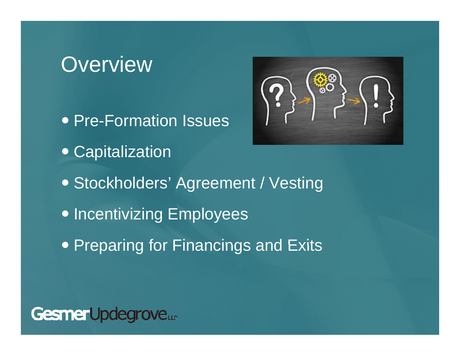## **Overview**

• Pre-Formation Issues Capitalization Stockholders' Agreement / Vesting • Incentivizing Employees • Preparing for Financings and Exits



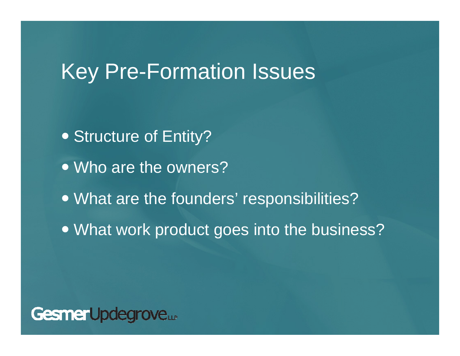## **Key Pre-Formation Issues**

- Structure of Entity?
- Who are the owners?
- What are the founders' responsibilities?
- What work product goes into the business?

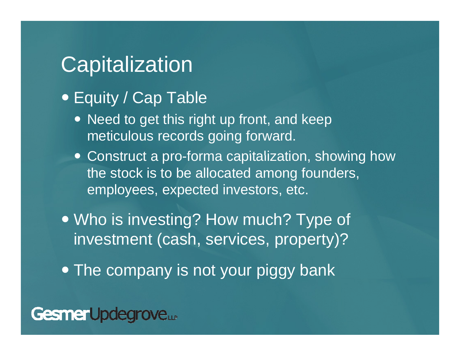## **Capitalization**

- Equity / Cap Table
	- Need to get this right up front, and keep meticulous records going forward.
	- Construct a pro-forma capitalization, showing how the stock is to be allocated among founders, employees, expected investors, etc.
- Who is investing? How much? Type of investment (cash, services, property)?
- The company is not your piggy bank

#### GesmerUpdegrove...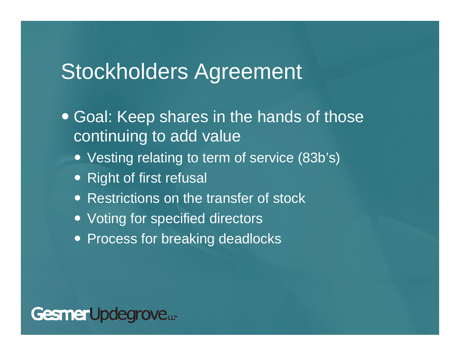### Stockholders Agreement

- Goal: Keep shares in the hands of those continuing to add value
	- Vesting relating to term of service (83b's)
	- Right of first refusal
	- Restrictions on the transfer of stock
	- Voting for specified directors
	- Process for breaking deadlocks

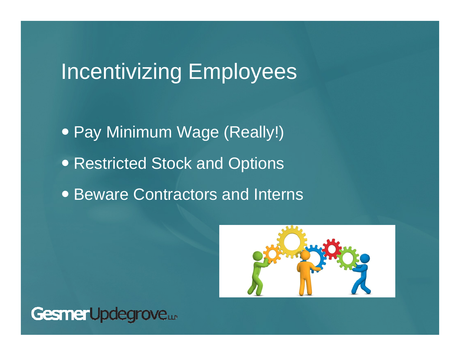# **Incentivizing Employees**

• Pay Minimum Wage (Really!) • Restricted Stock and Options • Beware Contractors and Interns



Gesmer Updegrove...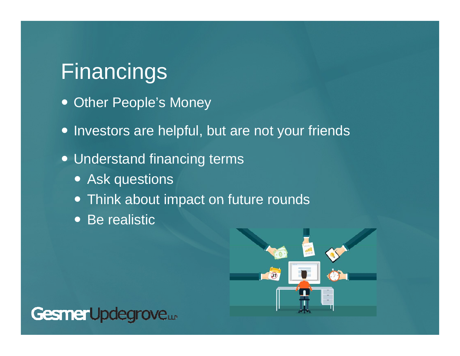## Financings

- Other People's Money
- Investors are helpful, but are not your friends
- Understand financing terms
	- Ask questions
	- Think about impact on future rounds
	- Be realistic



### GesmerUpdegrove...